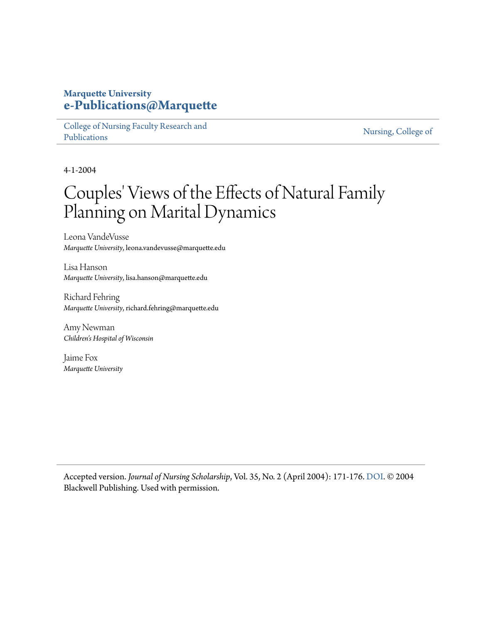# **Marquette University [e-Publications@Marquette](https://epublications.marquette.edu)**

[College of Nursing Faculty Research and](https://epublications.marquette.edu/nursing_fac) [Publications](https://epublications.marquette.edu/nursing_fac)

[Nursing, College of](https://epublications.marquette.edu/nursing)

4-1-2004

# Couples' Views of the Effects of Natural Family Planning on Marital Dynamics

Leona VandeVusse *Marquette University*, leona.vandevusse@marquette.edu

Lisa Hanson *Marquette University*, lisa.hanson@marquette.edu

Richard Fehring *Marquette University*, richard.fehring@marquette.edu

Amy Newman *Children's Hospital of Wisconsin*

Jaime Fox *Marquette University*

Accepted version. *Journal of Nursing Scholarship*, Vol. 35, No. 2 (April 2004): 171-176. [DOI](http://dx.doi.org/10.1111/j.1547-5069.2003.00171.x). © 2004 Blackwell Publishing. Used with permission.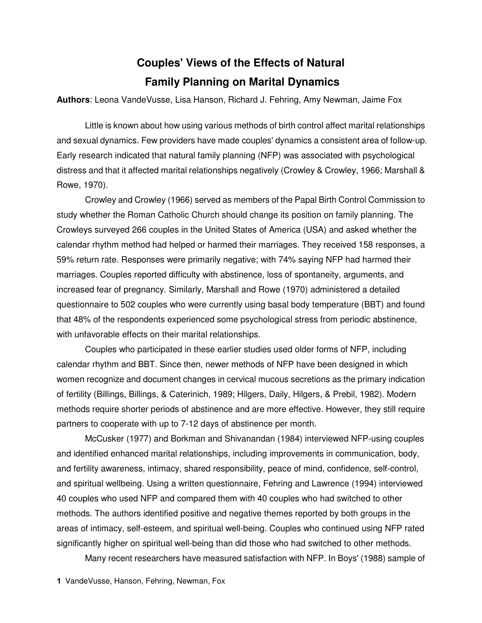# **Couples' Views of the Effects of Natural Family Planning on Marital Dynamics**

**Authors**: Leona VandeVusse, Lisa Hanson, Richard J. Fehring, Amy Newman, Jaime Fox

Little is known about how using various methods of birth control affect marital relationships and sexual dynamics. Few providers have made couples' dynamics a consistent area of follow-up. Early research indicated that natural family planning (NFP) was associated with psychological distress and that it affected marital relationships negatively (Crowley & Crowley, 1966; Marshall & Rowe, 1970).

Crowley and Crowley (1966) served as members of the Papal Birth Control Commission to study whether the Roman Catholic Church should change its position on family planning. The Crowleys surveyed 266 couples in the United States of America (USA) and asked whether the calendar rhythm method had helped or harmed their marriages. They received 158 responses, a 59% return rate. Responses were primarily negative; with 74% saying NFP had harmed their marriages. Couples reported difficulty with abstinence, loss of spontaneity, arguments, and increased fear of pregnancy. Similarly, Marshall and Rowe (1970) administered a detailed questionnaire to 502 couples who were currently using basal body temperature (BBT) and found that 48% of the respondents experienced some psychological stress from periodic abstinence, with unfavorable effects on their marital relationships.

Couples who participated in these earlier studies used older forms of NFP, including calendar rhythm and BBT. Since then, newer methods of NFP have been designed in which women recognize and document changes in cervical mucous secretions as the primary indication of fertility (Billings, Billings, & Caterinich, 1989; Hilgers, Daily, Hilgers, & Prebil, 1982). Modern methods require shorter periods of abstinence and are more effective. However, they still require partners to cooperate with up to 7-12 days of abstinence per month.

McCusker (1977) and Borkman and Shivanandan (1984) interviewed NFP-using couples and identified enhanced marital relationships, including improvements in communication, body, and fertility awareness, intimacy, shared responsibility, peace of mind, confidence, self-control, and spiritual wellbeing. Using a written questionnaire, Fehring and Lawrence (1994) interviewed 40 couples who used NFP and compared them with 40 couples who had switched to other methods. The authors identified positive and negative themes reported by both groups in the areas of intimacy, self-esteem, and spiritual well-being. Couples who continued using NFP rated significantly higher on spiritual well-being than did those who had switched to other methods.

Many recent researchers have measured satisfaction with NFP. In Boys' (1988) sample of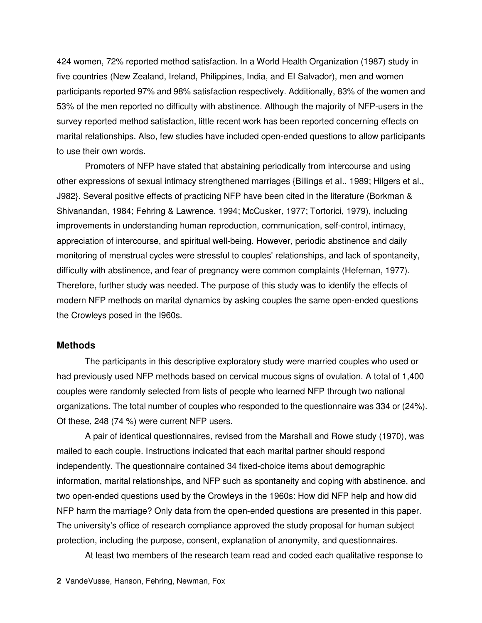424 women, 72% reported method satisfaction. In a World Health Organization (1987) study in five countries (New Zealand, Ireland, Philippines, India, and EI Salvador), men and women participants reported 97% and 98% satisfaction respectively. Additionally, 83% of the women and 53% of the men reported no difficulty with abstinence. Although the majority of NFP-users in the survey reported method satisfaction, little recent work has been reported concerning effects on marital relationships. Also, few studies have included open-ended questions to allow participants to use their own words.

Promoters of NFP have stated that abstaining periodically from intercourse and using other expressions of sexual intimacy strengthened marriages {Billings et aI., 1989; Hilgers et al., J982}. Several positive effects of practicing NFP have been cited in the literature (Borkman & Shivanandan, 1984; Fehring & Lawrence, 1994; McCusker, 1977; Tortorici, 1979), including improvements in understanding human reproduction, communication, self-control, intimacy, appreciation of intercourse, and spiritual well-being. However, periodic abstinence and daily monitoring of menstrual cycles were stressful to couples' relationships, and lack of spontaneity, difficulty with abstinence, and fear of pregnancy were common complaints (Hefernan, 1977). Therefore, further study was needed. The purpose of this study was to identify the effects of modern NFP methods on marital dynamics by asking couples the same open-ended questions the Crowleys posed in the I960s.

#### **Methods**

The participants in this descriptive exploratory study were married couples who used or had previously used NFP methods based on cervical mucous signs of ovulation. A total of 1,400 couples were randomly selected from lists of people who learned NFP through two national organizations. The total number of couples who responded to the questionnaire was 334 or (24%). Of these, 248 (74 %) were current NFP users.

A pair of identical questionnaires, revised from the Marshall and Rowe study (1970), was mailed to each couple. Instructions indicated that each marital partner should respond independently. The questionnaire contained 34 fixed-choice items about demographic information, marital relationships, and NFP such as spontaneity and coping with abstinence, and two open-ended questions used by the Crowleys in the 1960s: How did NFP help and how did NFP harm the marriage? Only data from the open-ended questions are presented in this paper. The university's office of research compliance approved the study proposal for human subject protection, including the purpose, consent, explanation of anonymity, and questionnaires.

At least two members of the research team read and coded each qualitative response to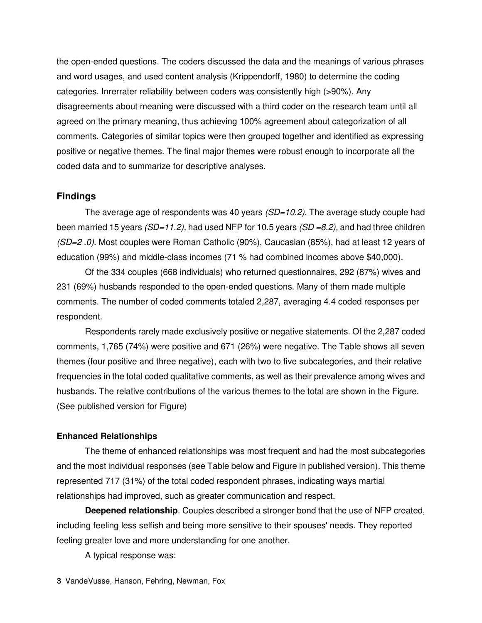the open-ended questions. The coders discussed the data and the meanings of various phrases and word usages, and used content analysis (Krippendorff, 1980) to determine the coding categories. Inrerrater reliability between coders was consistently high (>90%). Any disagreements about meaning were discussed with a third coder on the research team until all agreed on the primary meaning, thus achieving 100% agreement about categorization of all comments. Categories of similar topics were then grouped together and identified as expressing positive or negative themes. The final major themes were robust enough to incorporate all the coded data and to summarize for descriptive analyses.

#### **Findings**

The average age of respondents was 40 years  $(SD=10.2)$ . The average study couple had been married 15 years (SD=11.2), had used NFP for 10.5 years (SD =8.2), and had three children (SD=2.0). Most couples were Roman Catholic (90%), Caucasian (85%), had at least 12 years of education (99%) and middle-class incomes (71 % had combined incomes above \$40,000).

Of the 334 couples (668 individuals) who returned questionnaires, 292 (87%) wives and 231 (69%) husbands responded to the open-ended questions. Many of them made multiple comments. The number of coded comments totaled 2,287, averaging 4.4 coded responses per respondent.

Respondents rarely made exclusively positive or negative statements. Of the 2,287 coded comments, 1,765 (74%) were positive and 671 (26%) were negative. The Table shows all seven themes (four positive and three negative), each with two to five subcategories, and their relative frequencies in the total coded qualitative comments, as well as their prevalence among wives and husbands. The relative contributions of the various themes to the total are shown in the Figure. (See published version for Figure)

#### **Enhanced Relationships**

The theme of enhanced relationships was most frequent and had the most subcategories and the most individual responses (see Table below and Figure in published version). This theme represented 717 (31%) of the total coded respondent phrases, indicating ways martial relationships had improved, such as greater communication and respect.

**Deepened relationship**. Couples described a stronger bond that the use of NFP created, including feeling less selfish and being more sensitive to their spouses' needs. They reported feeling greater love and more understanding for one another.

A typical response was: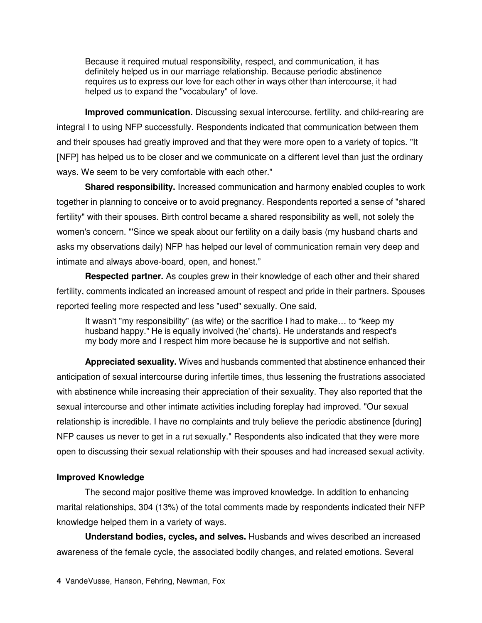Because it required mutual responsibility, respect, and communication, it has definitely helped us in our marriage relationship. Because periodic abstinence requires us to express our love for each other in ways other than intercourse, it had helped us to expand the "vocabulary" of love.

**Improved communication.** Discussing sexual intercourse, fertility, and child-rearing are integral I to using NFP successfully. Respondents indicated that communication between them and their spouses had greatly improved and that they were more open to a variety of topics. "It [NFP] has helped us to be closer and we communicate on a different level than just the ordinary ways. We seem to be very comfortable with each other."

**Shared responsibility.** Increased communication and harmony enabled couples to work together in planning to conceive or to avoid pregnancy. Respondents reported a sense of "shared fertility" with their spouses. Birth control became a shared responsibility as well, not solely the women's concern. "'Since we speak about our fertility on a daily basis (my husband charts and asks my observations daily) NFP has helped our level of communication remain very deep and intimate and always above-board, open, and honest."

**Respected partner.** As couples grew in their knowledge of each other and their shared fertility, comments indicated an increased amount of respect and pride in their partners. Spouses reported feeling more respected and less "used" sexually. One said,

It wasn't "my responsibility" (as wife) or the sacrifice I had to make… to "keep my husband happy." He is equally involved (he' charts). He understands and respect's my body more and I respect him more because he is supportive and not selfish.

**Appreciated sexuality.** Wives and husbands commented that abstinence enhanced their anticipation of sexual intercourse during infertile times, thus lessening the frustrations associated with abstinence while increasing their appreciation of their sexuality. They also reported that the sexual intercourse and other intimate activities including foreplay had improved. "Our sexual relationship is incredible. I have no complaints and truly believe the periodic abstinence [during] NFP causes us never to get in a rut sexually." Respondents also indicated that they were more open to discussing their sexual relationship with their spouses and had increased sexual activity.

#### **Improved Knowledge**

The second major positive theme was improved knowledge. In addition to enhancing marital relationships, 304 (13%) of the total comments made by respondents indicated their NFP knowledge helped them in a variety of ways.

**Understand bodies, cycles, and selves.** Husbands and wives described an increased awareness of the female cycle, the associated bodily changes, and related emotions. Several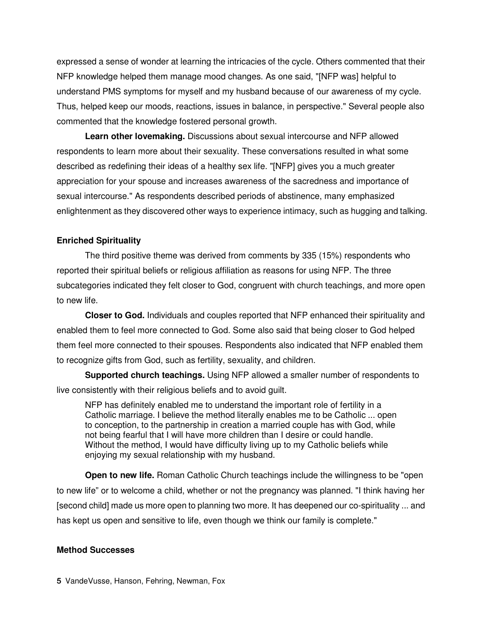expressed a sense of wonder at learning the intricacies of the cycle. Others commented that their NFP knowledge helped them manage mood changes. As one said, "[NFP was] helpful to understand PMS symptoms for myself and my husband because of our awareness of my cycle. Thus, helped keep our moods, reactions, issues in balance, in perspective." Several people also commented that the knowledge fostered personal growth.

**Learn other lovemaking.** Discussions about sexual intercourse and NFP allowed respondents to learn more about their sexuality. These conversations resulted in what some described as redefining their ideas of a healthy sex life. "[NFP] gives you a much greater appreciation for your spouse and increases awareness of the sacredness and importance of sexual intercourse." As respondents described periods of abstinence, many emphasized enlightenment as they discovered other ways to experience intimacy, such as hugging and talking.

### **Enriched Spirituality**

The third positive theme was derived from comments by 335 (15%) respondents who reported their spiritual beliefs or religious affiliation as reasons for using NFP. The three subcategories indicated they felt closer to God, congruent with church teachings, and more open to new life.

**Closer to God.** Individuals and couples reported that NFP enhanced their spirituality and enabled them to feel more connected to God. Some also said that being closer to God helped them feel more connected to their spouses. Respondents also indicated that NFP enabled them to recognize gifts from God, such as fertility, sexuality, and children.

**Supported church teachings.** Using NFP allowed a smaller number of respondents to live consistently with their religious beliefs and to avoid guilt.

NFP has definitely enabled me to understand the important role of fertility in a Catholic marriage. I believe the method literally enables me to be Catholic ... open to conception, to the partnership in creation a married couple has with God, while not being fearful that I will have more children than I desire or could handle. Without the method, I would have difficulty living up to my Catholic beliefs while enjoying my sexual relationship with my husband.

**Open to new life.** Roman Catholic Church teachings include the willingness to be "open to new life" or to welcome a child, whether or not the pregnancy was planned. "I think having her [second child] made us more open to planning two more. It has deepened our co-spirituality ... and has kept us open and sensitive to life, even though we think our family is complete."

#### **Method Successes**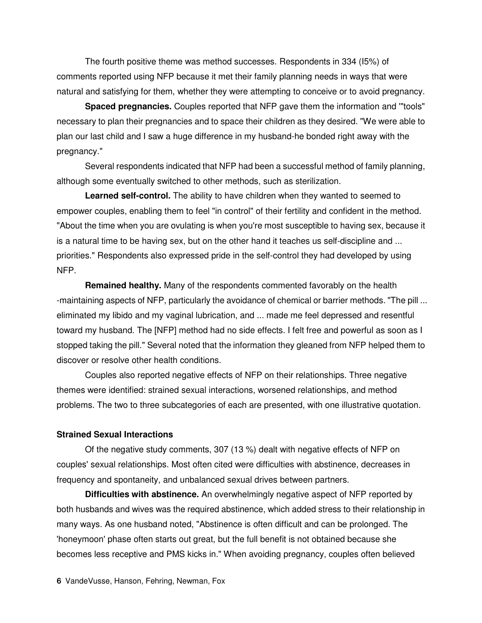The fourth positive theme was method successes. Respondents in 334 (I5%) of comments reported using NFP because it met their family planning needs in ways that were natural and satisfying for them, whether they were attempting to conceive or to avoid pregnancy.

**Spaced pregnancies.** Couples reported that NFP gave them the information and '"tools" necessary to plan their pregnancies and to space their children as they desired. "We were able to plan our last child and I saw a huge difference in my husband-he bonded right away with the pregnancy."

Several respondents indicated that NFP had been a successful method of family planning, although some eventually switched to other methods, such as sterilization.

**Learned self-control.** The ability to have children when they wanted to seemed to empower couples, enabling them to feel "in control" of their fertility and confident in the method. "About the time when you are ovulating is when you're most susceptible to having sex, because it is a natural time to be having sex, but on the other hand it teaches us self-discipline and ... priorities." Respondents also expressed pride in the self-control they had developed by using NFP.

**Remained healthy.** Many of the respondents commented favorably on the health -maintaining aspects of NFP, particularly the avoidance of chemical or barrier methods. "The pill ... eliminated my libido and my vaginal lubrication, and ... made me feel depressed and resentful toward my husband. The [NFP] method had no side effects. I felt free and powerful as soon as I stopped taking the pill." Several noted that the information they gleaned from NFP helped them to discover or resolve other health conditions.

Couples also reported negative effects of NFP on their relationships. Three negative themes were identified: strained sexual interactions, worsened relationships, and method problems. The two to three subcategories of each are presented, with one illustrative quotation.

#### **Strained Sexual Interactions**

Of the negative study comments, 307 (13 %) dealt with negative effects of NFP on couples' sexual relationships. Most often cited were difficulties with abstinence, decreases in frequency and spontaneity, and unbalanced sexual drives between partners.

**Difficulties with abstinence.** An overwhelmingly negative aspect of NFP reported by both husbands and wives was the required abstinence, which added stress to their relationship in many ways. As one husband noted, "Abstinence is often difficult and can be prolonged. The 'honeymoon' phase often starts out great, but the full benefit is not obtained because she becomes less receptive and PMS kicks in." When avoiding pregnancy, couples often believed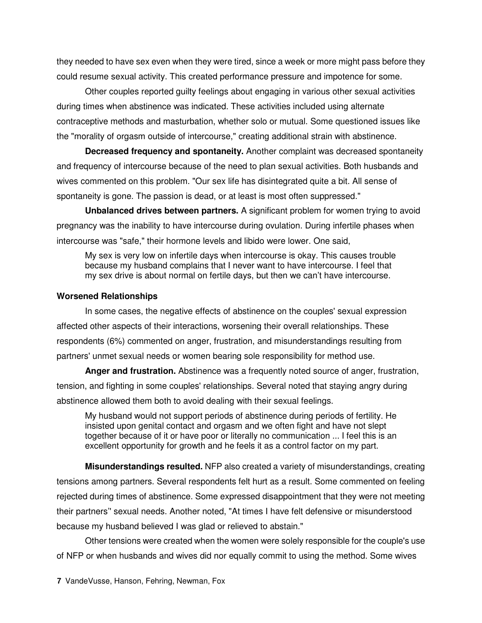they needed to have sex even when they were tired, since a week or more might pass before they could resume sexual activity. This created performance pressure and impotence for some.

Other couples reported guilty feelings about engaging in various other sexual activities during times when abstinence was indicated. These activities included using alternate contraceptive methods and masturbation, whether solo or mutual. Some questioned issues like the "morality of orgasm outside of intercourse," creating additional strain with abstinence.

**Decreased frequency and spontaneity.** Another complaint was decreased spontaneity and frequency of intercourse because of the need to plan sexual activities. Both husbands and wives commented on this problem. "Our sex life has disintegrated quite a bit. All sense of spontaneity is gone. The passion is dead, or at least is most often suppressed."

**Unbalanced drives between partners.** A significant problem for women trying to avoid pregnancy was the inability to have intercourse during ovulation. During infertile phases when intercourse was "safe," their hormone levels and libido were lower. One said,

My sex is very low on infertile days when intercourse is okay. This causes trouble because my husband complains that I never want to have intercourse. I feel that my sex drive is about normal on fertile days, but then we can't have intercourse.

#### **Worsened Relationships**

In some cases, the negative effects of abstinence on the couples' sexual expression affected other aspects of their interactions, worsening their overall relationships. These respondents (6%) commented on anger, frustration, and misunderstandings resulting from partners' unmet sexual needs or women bearing sole responsibility for method use.

**Anger and frustration.** Abstinence was a frequently noted source of anger, frustration, tension, and fighting in some couples' relationships. Several noted that staying angry during abstinence allowed them both to avoid dealing with their sexual feelings.

My husband would not support periods of abstinence during periods of fertility. He insisted upon genital contact and orgasm and we often fight and have not slept together because of it or have poor or literally no communication ... I feel this is an excellent opportunity for growth and he feels it as a control factor on my part.

**Misunderstandings resulted.** NFP also created a variety of misunderstandings, creating tensions among partners. Several respondents felt hurt as a result. Some commented on feeling rejected during times of abstinence. Some expressed disappointment that they were not meeting their partners'' sexual needs. Another noted, "At times I have felt defensive or misunderstood because my husband believed I was glad or relieved to abstain."

Other tensions were created when the women were solely responsible for the couple's use of NFP or when husbands and wives did nor equally commit to using the method. Some wives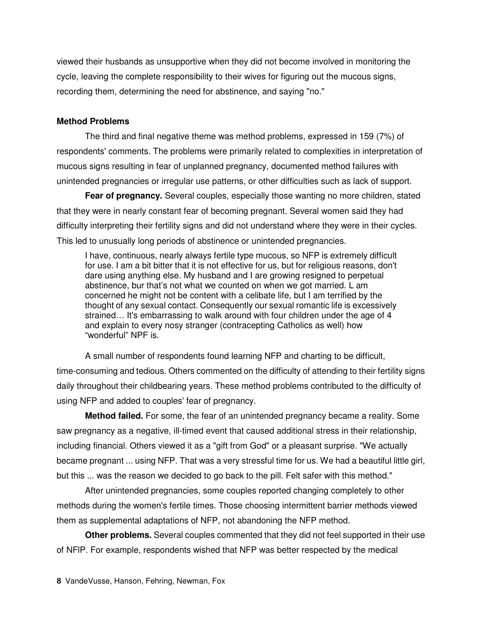viewed their husbands as unsupportive when they did not become involved in monitoring the cycle, leaving the complete responsibility to their wives for figuring out the mucous signs, recording them, determining the need for abstinence, and saying "no."

## **Method Problems**

The third and final negative theme was method problems, expressed in 159 (7%) of respondents' comments. The problems were primarily related to complexities in interpretation of mucous signs resulting in fear of unplanned pregnancy, documented method failures with unintended pregnancies or irregular use patterns, or other difficulties such as lack of support.

Fear of pregnancy. Several couples, especially those wanting no more children, stated that they were in nearly constant fear of becoming pregnant. Several women said they had difficulty interpreting their fertility signs and did not understand where they were in their cycles. This led to unusually long periods of abstinence or unintended pregnancies.

I have, continuous, nearly always fertile type mucous, so NFP is extremely difficult for use. I am a bit bitter that it is not effective for us, but for religious reasons, don't dare using anything else. My husband and I are growing resigned to perpetual abstinence, bur that's not what we counted on when we got married. L am concerned he might not be content with a celibate life, but I am terrified by the thought of any sexual contact. Consequently our sexual romantic life is excessively strained… It's embarrassing to walk around with four children under the age of 4 and explain to every nosy stranger (contracepting Catholics as well) how "wonderful" NPF is.

A small number of respondents found learning NFP and charting to be difficult, time-consuming and tedious. Others commented on the difficulty of attending to their fertility signs daily throughout their childbearing years. These method problems contributed to the difficulty of using NFP and added to couples' fear of pregnancy.

**Method failed.** For some, the fear of an unintended pregnancy became a reality. Some saw pregnancy as a negative, ill-timed event that caused additional stress in their relationship, including financial. Others viewed it as a "gift from God" or a pleasant surprise. "We actually became pregnant ... using NFP. That was a very stressful time for us. We had a beautiful little girl, but this ... was the reason we decided to go back to the pill. Felt safer with this method."

After unintended pregnancies, some couples reported changing completely to other methods during the women's fertile times. Those choosing intermittent barrier methods viewed them as supplemental adaptations of NFP, not abandoning the NFP method.

**Other problems.** Several couples commented that they did not feel supported in their use of NFlP. For example, respondents wished that NFP was better respected by the medical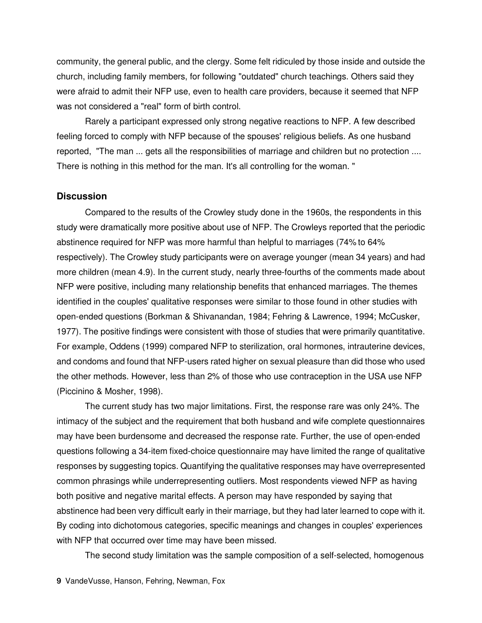community, the general public, and the clergy. Some felt ridiculed by those inside and outside the church, including family members, for following "outdated" church teachings. Others said they were afraid to admit their NFP use, even to health care providers, because it seemed that NFP was not considered a "real" form of birth control.

Rarely a participant expressed only strong negative reactions to NFP. A few described feeling forced to comply with NFP because of the spouses' religious beliefs. As one husband reported, "The man ... gets all the responsibilities of marriage and children but no protection .... There is nothing in this method for the man. It's all controlling for the woman. "

#### **Discussion**

Compared to the results of the Crowley study done in the 1960s, the respondents in this study were dramatically more positive about use of NFP. The Crowleys reported that the periodic abstinence required for NFP was more harmful than helpful to marriages (74% to 64% respectively). The Crowley study participants were on average younger (mean 34 years) and had more children (mean 4.9). In the current study, nearly three-fourths of the comments made about NFP were positive, including many relationship benefits that enhanced marriages. The themes identified in the couples' qualitative responses were similar to those found in other studies with open-ended questions (Borkman & Shivanandan, 1984; Fehring & Lawrence, 1994; McCusker, 1977). The positive findings were consistent with those of studies that were primarily quantitative. For example, Oddens (1999) compared NFP to sterilization, oral hormones, intrauterine devices, and condoms and found that NFP-users rated higher on sexual pleasure than did those who used the other methods. However, less than 2% of those who use contraception in the USA use NFP (Piccinino & Mosher, 1998).

The current study has two major limitations. First, the response rare was only 24%. The intimacy of the subject and the requirement that both husband and wife complete questionnaires may have been burdensome and decreased the response rate. Further, the use of open-ended questions following a 34-item fixed-choice questionnaire may have limited the range of qualitative responses by suggesting topics. Quantifying the qualitative responses may have overrepresented common phrasings while underrepresenting outliers. Most respondents viewed NFP as having both positive and negative marital effects. A person may have responded by saying that abstinence had been very difficult early in their marriage, but they had later learned to cope with it. By coding into dichotomous categories, specific meanings and changes in couples' experiences with NFP that occurred over time may have been missed.

The second study limitation was the sample composition of a self-selected, homogenous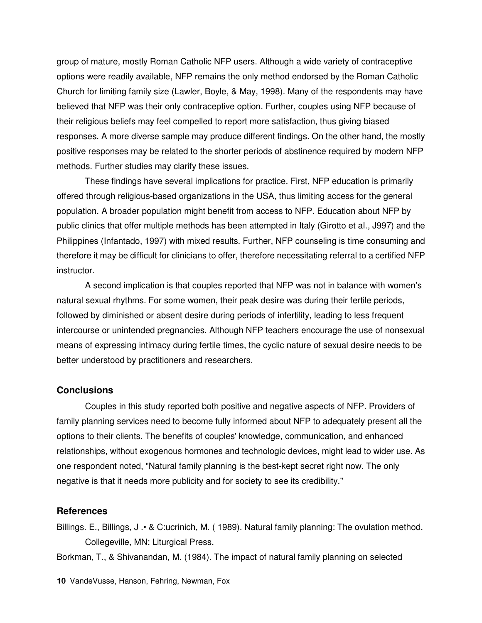group of mature, mostly Roman Catholic NFP users. Although a wide variety of contraceptive options were readily available, NFP remains the only method endorsed by the Roman Catholic Church for limiting family size (Lawler, Boyle, & May, 1998). Many of the respondents may have believed that NFP was their only contraceptive option. Further, couples using NFP because of their religious beliefs may feel compelled to report more satisfaction, thus giving biased responses. A more diverse sample may produce different findings. On the other hand, the mostly positive responses may be related to the shorter periods of abstinence required by modern NFP methods. Further studies may clarify these issues.

These findings have several implications for practice. First, NFP education is primarily offered through religious-based organizations in the USA, thus limiting access for the general population. A broader population might benefit from access to NFP. Education about NFP by public clinics that offer multiple methods has been attempted in Italy (Girotto et aI., J997) and the Philippines (Infantado, 1997) with mixed results. Further, NFP counseling is time consuming and therefore it may be difficult for clinicians to offer, therefore necessitating referral to a certified NFP instructor.

A second implication is that couples reported that NFP was not in balance with women's natural sexual rhythms. For some women, their peak desire was during their fertile periods, followed by diminished or absent desire during periods of infertility, leading to less frequent intercourse or unintended pregnancies. Although NFP teachers encourage the use of nonsexual means of expressing intimacy during fertile times, the cyclic nature of sexual desire needs to be better understood by practitioners and researchers.

#### **Conclusions**

Couples in this study reported both positive and negative aspects of NFP. Providers of family planning services need to become fully informed about NFP to adequately present all the options to their clients. The benefits of couples' knowledge, communication, and enhanced relationships, without exogenous hormones and technologic devices, might lead to wider use. As one respondent noted, "Natural family planning is the best-kept secret right now. The only negative is that it needs more publicity and for society to see its credibility."

#### **References**

Billings. E., Billings, J .• & C:ucrinich, M. ( 1989). Natural family planning: The ovulation method. Collegeville, MN: Liturgical Press.

Borkman, T., & Shivanandan, M. (1984). The impact of natural family planning on selected

**10** VandeVusse, Hanson, Fehring, Newman, Fox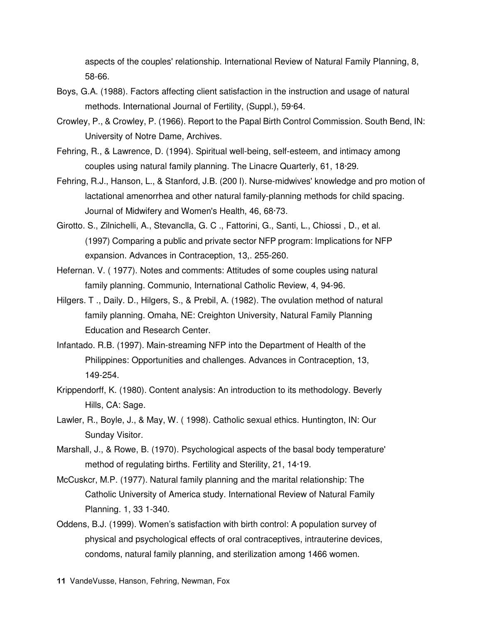aspects of the couples' relationship. International Review of Natural Family Planning, 8, 58-66.

- Boys, G.A. (1988). Factors affecting client satisfaction in the instruction and usage of natural methods. International Journal of Fertility, (Suppl.), 59·64.
- Crowley, P., & Crowley, P. (1966). Report to the Papal Birth Control Commission. South Bend, IN: University of Notre Dame, Archives.
- Fehring, R., & Lawrence, D. (1994). Spiritual well-being, self-esteem, and intimacy among couples using natural family planning. The Linacre Quarterly, 61, 18·29.
- Fehring, R.J., Hanson, L., & Stanford, J.B. (200 I). Nurse-midwives' knowledge and pro motion of lactational amenorrhea and other natural family-planning methods for child spacing. Journal of Midwifery and Women's Health, 46, 68·73.
- Girotto. S., Zilnichelli, A., Stevanclla, G. C ., Fattorini, G., Santi, L., Chiossi , D., et al. (1997) Comparing a public and private sector NFP program: Implications for NFP expansion. Advances in Contraception, 13,. 255-260.
- Hefernan. V. ( 1977). Notes and comments: Attitudes of some couples using natural family planning. Communio, International Catholic Review, 4, 94-96.
- Hilgers. T ., Daily. D., Hilgers, S., & Prebil, A. (1982). The ovulation method of natural family planning. Omaha, NE: Creighton University, Natural Family Planning Education and Research Center.
- Infantado. R.B. (1997). Main-streaming NFP into the Department of Health of the Philippines: Opportunities and challenges. Advances in Contraception, 13, 149-254.
- Krippendorff, K. (1980). Content analysis: An introduction to its methodology. Beverly Hills, CA: Sage.
- Lawler, R., Boyle, J., & May, W. ( 1998). Catholic sexual ethics. Huntington, IN: Our Sunday Visitor.
- Marshall, J., & Rowe, B. (1970). Psychological aspects of the basal body temperature' method of regulating births. Fertility and Sterility, 21, 14·19.
- McCuskcr, M.P. (1977). Natural family planning and the marital relationship: The Catholic University of America study. International Review of Natural Family Planning. 1, 33 1-340.
- Oddens, B.J. (1999). Women's satisfaction with birth control: A population survey of physical and psychological effects of oral contraceptives, intrauterine devices, condoms, natural family planning, and sterilization among 1466 women.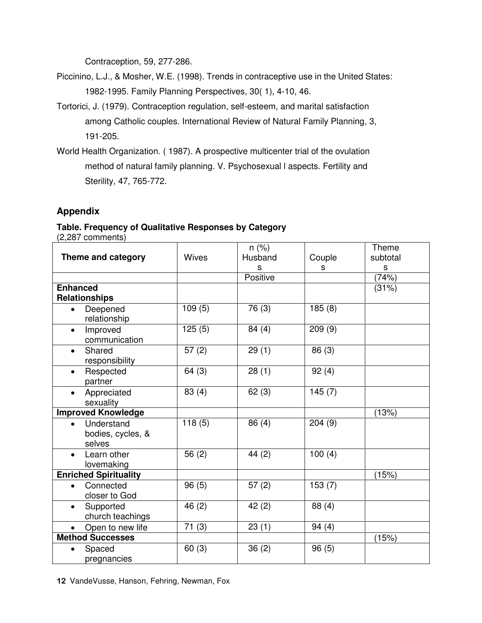Contraception, 59, 277-286.

- Piccinino, L.J., & Mosher, W.E. (1998). Trends in contraceptive use in the United States: 1982-1995. Family Planning Perspectives, 30( 1), 4-10, 46.
- Tortorici, J. (1979). Contraception regulation, self-esteem, and marital satisfaction among Catholic couples. International Review of Natural Family Planning, 3, 191-205.
- World Health Organization. ( 1987). A prospective multicenter trial of the ovulation method of natural family planning. V. Psychosexual l aspects. Fertility and Sterility, 47, 765-772.

# **Appendix**

#### **Table. Frequency of Qualitative Responses by Category**  (2,287 comments)

|                              |        | $n$ (%)  |                     | Theme    |
|------------------------------|--------|----------|---------------------|----------|
| Theme and category           | Wives  | Husband  | Couple              | subtotal |
|                              |        | S        | S                   | S        |
|                              |        | Positive |                     | (74%)    |
| <b>Enhanced</b>              |        |          |                     | (31%)    |
| <b>Relationships</b>         |        |          |                     |          |
| Deepened<br>$\bullet$        | 109(5) | 76 (3)   | 185(8)              |          |
| relationship                 |        |          |                     |          |
| Improved<br>$\bullet$        | 125(5) | 84(4)    | 209(9)              |          |
| communication                |        |          |                     |          |
| Shared<br>$\bullet$          | 57(2)  | 29(1)    | 86 (3)              |          |
| responsibility               |        |          |                     |          |
| Respected<br>$\bullet$       | 64(3)  | 28(1)    | 92(4)               |          |
| partner                      |        |          |                     |          |
| Appreciated<br>$\bullet$     | 83(4)  | 62(3)    | 145(7)              |          |
| sexuality                    |        |          |                     |          |
| <b>Improved Knowledge</b>    |        |          |                     | (13%)    |
| Understand                   | 118(5) | 86(4)    | 204(9)              |          |
| bodies, cycles, &            |        |          |                     |          |
| selves                       |        |          |                     |          |
| Learn other<br>$\bullet$     | 56(2)  | 44(2)    | $\overline{1}00(4)$ |          |
| lovemaking                   |        |          |                     |          |
| <b>Enriched Spirituality</b> |        |          |                     | (15%)    |
| Connected<br>$\bullet$       | 96(5)  | 57(2)    | 153(7)              |          |
| closer to God                |        |          |                     |          |
| Supported<br>$\bullet$       | 46(2)  | 42(2)    | 88 (4)              |          |
| church teachings             |        |          |                     |          |
| Open to new life             | 71(3)  | 23(1)    | 94(4)               |          |
| <b>Method Successes</b>      |        |          |                     | (15%)    |
| Spaced                       | 60(3)  | 36(2)    | 96(5)               |          |
| pregnancies                  |        |          |                     |          |

**12** VandeVusse, Hanson, Fehring, Newman, Fox